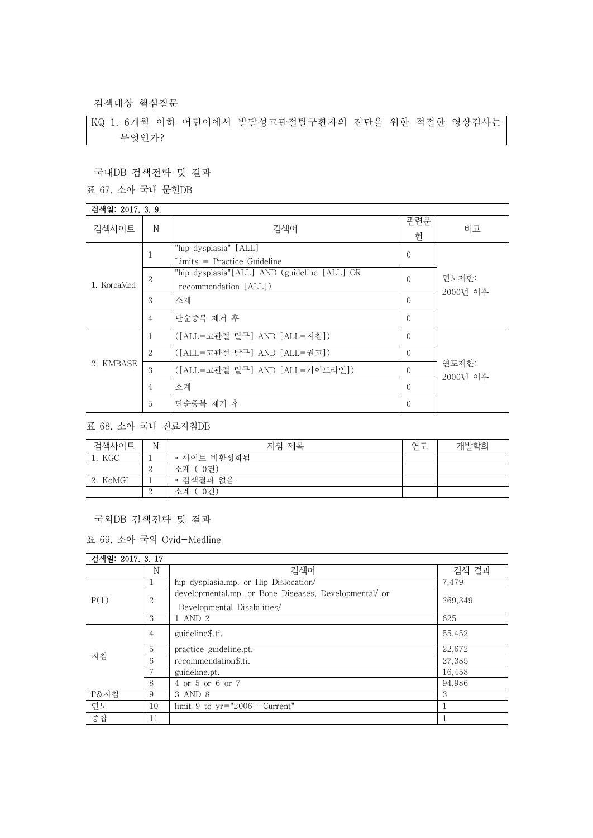검색대상 핵심질문

KQ 1. 6개월 이하 어린이에서 발달성고관절탈구환자의 진단을 위한 적절한 영상검사는 무엇인가?

국내DB 검색전략 및 결과

표 67. 소아 국내 문헌DB

### 검색일: 2017. 3. 9.

| 검색사이트       | N              | 검색어                                                                   | 관련문<br>헌       | 비고                |
|-------------|----------------|-----------------------------------------------------------------------|----------------|-------------------|
| 1. KoreaMed | 1              | "hip dysplasia" [ALL]<br>$Limits = Practice Guide$                    | $\overline{0}$ |                   |
|             | 2              | "hip dysplasia"[ALL] AND (guideline [ALL] OR<br>recommendation [ALL]) | $\Omega$       | 연도제한:<br>2000년 이후 |
|             | 3              | 소계                                                                    | $\Omega$       |                   |
|             | $\overline{4}$ | 단순중복 제거 후                                                             | $\Omega$       |                   |
| 2. KMBASE   | 1              | ([ALL=고관절 탈구] AND [ALL=지침])                                           | $\Omega$       |                   |
|             | 2              | ([ALL=고관절 탈구] AND [ALL=권고])                                           | $\Omega$       |                   |
|             | 3              | ([ALL=고관절 탈구] AND [ALL=가이드라인])                                        | $\Omega$       | 연도제한:<br>2000년 이후 |
|             | $\overline{4}$ | 소계                                                                    | $\Omega$       |                   |
|             | 5              | 단순중복 제거 후                                                             | $\Omega$       |                   |

표 68. 소아 국내 진료지침DB

| 검색사이트    | Ν | 지침 제목         | 연도 | 개발학회 |
|----------|---|---------------|----|------|
| 1. KGC   |   | * 사이트 비활성화됨   |    |      |
|          | ↵ | [ 0건)<br>소계 ( |    |      |
| 2. KoMGI | ᅩ | * 검색결과 없음     |    |      |
|          | ↵ | 소계<br>0건)     |    |      |

### 국외DB 검색전략 및 결과

표 69. 소아 국외 Ovid-Medline

## 검색일: 2017. 3. 17

|      | N  | 검색어                                                                                  | 검색 결과   |
|------|----|--------------------------------------------------------------------------------------|---------|
| P(1) |    | hip dysplasia.mp. or Hip Dislocation/                                                | 7,479   |
|      | 2  | developmental.mp. or Bone Diseases, Developmental/ or<br>Developmental Disabilities/ | 269.349 |
|      | 3  | . AND $2$                                                                            | 625     |
| 지침   | 4  | guideline\$.ti.                                                                      | 55,452  |
|      | 5  | practice guideline.pt.                                                               | 22,672  |
|      | 6  | recommendation\$.ti.                                                                 | 27,385  |
|      |    | guideline.pt.                                                                        | 16.458  |
|      | 8  | 4 or 5 or 6 or 7                                                                     | 94.986  |
| P&지침 | 9  | 3 AND 8                                                                              | 3       |
| 연도   | 10 | limit 9 to $yr="2006$ -Current"                                                      |         |
| 종합   | 11 |                                                                                      |         |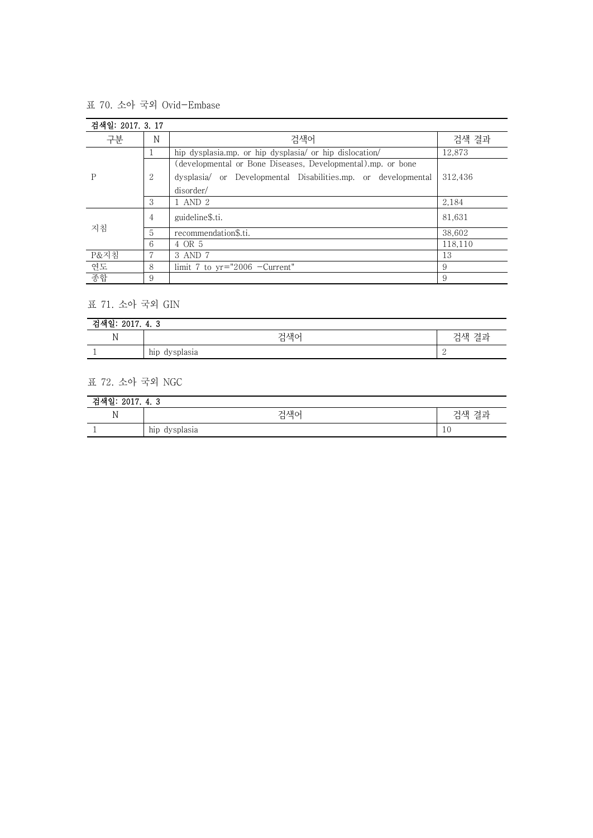표 70. 소아 국외 Ovid-Embase

| 검색일: 2017. 3. 17 |                |                                                               |         |
|------------------|----------------|---------------------------------------------------------------|---------|
| 구분               | N              | 검색어                                                           | 검색 결과   |
| P                |                | hip dysplasia.mp. or hip dysplasia/ or hip dislocation/       | 12,873  |
|                  |                | (developmental or Bone Diseases, Developmental).mp. or bone   |         |
|                  | 2              | dysplasia/ or Developmental Disabilities.mp. or developmental | 312.436 |
|                  |                | disorder/                                                     |         |
|                  | 3              | 1 AND 2                                                       | 2,184   |
| 지침               | $\overline{4}$ | guideline\$.ti.                                               | 81,631  |
|                  | 5              | recommendation\$.ti.                                          | 38.602  |
|                  | 6              | 4 OR 5                                                        | 118.110 |
| P&지침             |                | 3 AND 7                                                       | 13      |
| 연도               | 8              | limit 7 to $yr="2006$ -Current"                               | 9       |
| 종합               | 9              |                                                               | 9       |

# 표 71. 소아 국외 GIN

| 0017<br>יו הנוניה<br>$\mathbf{\hat{a}}$<br>ZUIT. 4. 5<br>.<br>p. |                                              |  |  |
|------------------------------------------------------------------|----------------------------------------------|--|--|
| $\mathbf N$                                                      | 검색어<br>결과<br>검색                              |  |  |
|                                                                  | $\cdot$ .<br>dirantogio<br>hip<br>uy spiasia |  |  |

# 표 72. 소아 국외 NGC

| 검색일: 2017. 4. 3 |               |          |  |
|-----------------|---------------|----------|--|
| ъτ<br>1A        | 검색어           | 결과<br>거색 |  |
|                 | hip dysplasia | 10       |  |